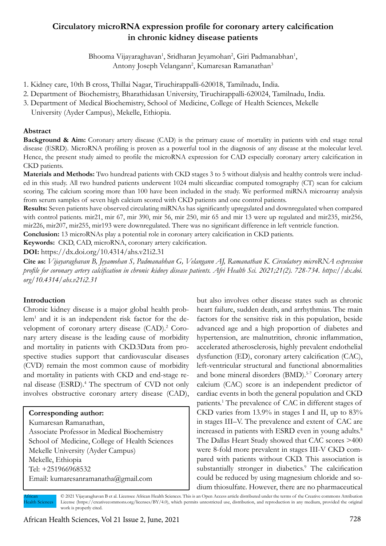# **Circulatory microRNA expression profile for coronary artery calcification in chronic kidney disease patients**

Bhooma Vijayaraghavan<sup>1</sup>, Sridharan Jeyamohan<sup>2</sup>, Giri Padmanabhan<sup>1</sup>, Antony Joseph Velangann<sup>2</sup>, Kumaresan Ramanathan<sup>3</sup>

- 1. Kidney care, 10th B cross, Thillai Nagar, Tiruchirappalli-620018, Tamilnadu, India.
- 2. Department of Biochemistry, Bharathidasan University, Tiruchirappalli-620024, Tamilnadu, India.
- 3. Department of Medical Biochemistry, School of Medicine, College of Health Sciences, Mekelle University (Ayder Campus), Mekelle, Ethiopia.

### **Abstract**

**Background & Aim:** Coronary artery disease (CAD) is the primary cause of mortality in patients with end stage renal disease (ESRD). MicroRNA profiling is proven as a powerful tool in the diagnosis of any disease at the molecular level. Hence, the present study aimed to profile the microRNA expression for CAD especially coronary artery calcification in CKD patients.

**Materials and Methods:** Two hundread patients with CKD stages 3 to 5 without dialysis and healthy controls were included in this study. All two hundred patients underwent 1024 multi sliceardiac computed tomography (CT) scan for calcium scoring. The calcium scoring more than 100 have been included in the study. We performed miRNA microarray analysis from serum samples of seven high calcium scored with CKD patients and one control patients.

**Results:** Seven patients have observed circulating miRNAs has significantly upregulated and downregulated when compared with control patients. mir21, mir 67, mir 390, mir 56, mir 250, mir 65 and mir 13 were up regulated and mir235, mir256, mir226, mir207, mir255, mir193 were downregulated. There was no significant difference in left ventricle function.

**Conclusion:** 13 microRNAs play a potential role in coronary artery calcification in CKD patients.

**Keywords:** CKD, CAD, microRNA, coronary artery calcification.

**DOI:** https://dx.doi.org/10.4314/ahs.v21i2.31

**Cite as:** *Vijayaraghavan B, Jeyamohan S, Padmanabhan G, Velangann AJ, Ramanathan K. Circulatory microRNA expression profile for coronary artery calcification in chronic kidney disease patients. Afri Health Sci. 2021;21(2). 728-734. https://dx.doi. org/10.4314/ahs.v21i2.31*

### **Introduction**

Chronic kidney disease is a major global health problem<sup>1</sup> and it is an independent risk factor for the development of coronary artery disease (CAD).<sup>2</sup> Coronary artery disease is the leading cause of morbidity and mortality in patients with CKD.3Data from prospective studies support that cardiovascular diseases (CVD) remain the most common cause of morbidity and mortality in patients with CKD and end-stage renal disease (ESRD).<sup>4</sup> The spectrum of CVD not only involves obstructive coronary artery disease (CAD),

#### **Corresponding author:**

Kumaresan Ramanathan, Associate Professor in Medical Biochemistry School of Medicine, College of Health Sciences Mekelle University (Ayder Campus) Mekelle, Ethiopia Tel: +251966968532 Email: kumaresanramanatha@gmail.com

but also involves other disease states such as chronic heart failure, sudden death, and arrhythmias. The main factors for the sensitive risk in this population, beside advanced age and a high proportion of diabetes and hypertension, are malnutrition, chronic inflammation, accelerated atherosclerosis, highly prevalent endothelial dysfunction (ED), coronary artery calcification (CAC), left-ventricular structural and functional abnormalities and bone mineral disorders (BMD).<sup>5-7</sup> Coronary artery calcium (CAC) score is an independent predictor of cardiac events in both the general population and CKD patients.1 The prevalence of CAC in different stages of CKD varies from 13.9% in stages I and II, up to 83% in stages III–V. The prevalence and extent of CAC are increased in patients with ESRD even in young adults.<sup>8</sup> The Dallas Heart Study showed that CAC scores >400 were 8-fold more prevalent in stages III-V CKD compared with patients without CKD. This association is substantially stronger in diabetics.<sup>9</sup> The calcification could be reduced by using magnesium chloride and sodium thiosulfate. However, there are no pharmaceutical

© 2021 Vijayaraghavan B et al. Licensee African Health Sciences. This is an Open Access article distributed under the terms of the Creative commons Attribution License (https://creativecommons.org/licenses/BY/4.0), which permits unrestricted use, distribution, and reproduction in any medium, provided the original work is properly cited. African **Iealth Sciences**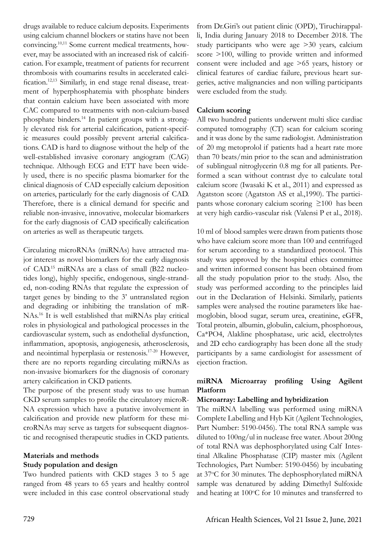drugs available to reduce calcium deposits. Experiments using calcium channel blockers or statins have not been convincing.10,11 Some current medical treatments, however, may be associated with an increased risk of calcification. For example, treatment of patients for recurrent thrombosis with coumarins results in accelerated calcification.12,13 Similarly, in end stage renal disease, treatment of hyperphosphatemia with phosphate binders that contain calcium have been associated with more CAC compared to treatments with non-calcium-based phosphate binders.14 In patient groups with a strongly elevated risk for arterial calcification, patient-specific measures could possibly prevent arterial calcifications. CAD is hard to diagnose without the help of the well-established invasive coronary angiogram (CAG) technique. Although ECG and ETT have been widely used, there is no specific plasma biomarker for the clinical diagnosis of CAD especially calcium deposition on arteries, particularly for the early diagnosis of CAD. Therefore, there is a clinical demand for specific and reliable non-invasive, innovative, molecular biomarkers for the early diagnosis of CAD specifically calcification on arteries as well as therapeutic targets.

Circulating microRNAs (miRNAs) have attracted major interest as novel biomarkers for the early diagnosis of CAD.15 miRNAs are a class of small (B22 nucleotides long), highly specific, endogenous, single-stranded, non-coding RNAs that regulate the expression of target genes by binding to the 3' untranslated region and degrading or inhibiting the translation of mR-NAs.16 It is well established that miRNAs play critical roles in physiological and pathological processes in the cardiovascular system, such as endothelial dysfunction, inflammation, apoptosis, angiogenesis, atherosclerosis, and neointimal hyperplasia or restenosis.17-20 However, there are no reports regarding circulating miRNAs as non-invasive biomarkers for the diagnosis of coronary artery calcification in CKD patients.

The purpose of the present study was to use human CKD serum samples to profile the circulatory microR-NA expression which have a putative involvement in calcification and provide new platform for these microRNAs may serve as targets for subsequent diagnostic and recognised therapeutic studies in CKD patients.

# **Materials and methods Study population and design**

Two hundred patients with CKD stages 3 to 5 age ranged from 48 years to 65 years and healthy control were included in this case control observational study from Dr.Giri's out patient clinic (OPD), Tiruchirappalli, India during January 2018 to December 2018. The study participants who were age >30 years, calcium score >100, willing to provide written and informed consent were included and age >65 years, history or clinical features of cardiac failure, previous heart surgeries, active malignancies and non willing participants were excluded from the study.

# **Calcium scoring**

All two hundred patients underwent multi slice cardiac computed tomography (CT) scan for calcium scoring and it was done by the same radiologist. Administration of 20 mg metoprolol if patients had a heart rate more than 70 beats/min prior to the scan and administration of sublingual nitroglycerin 0.8 mg for all patients. Performed a scan without contrast dye to calculate total calcium score (Iwasaki K et al., 2011) and expressed as Agatston score (Agatston AS et al.,1990). The participants whose coronary calcium scoring  $\geq 100$  has been at very high cardio-vascular risk (Valensi P et al., 2018).

10 ml of blood samples were drawn from patients those who have calcium score more than 100 and centrifuged for serum according to a standardized protocol. This study was approved by the hospital ethics committee and written informed consent has been obtained from all the study population prior to the study. Also, the study was performed according to the principles laid out in the Declaration of Helsinki. Similarly, patients samples were analysed the routine parameters like haemoglobin, blood sugar, serum urea, creatinine, eGFR, Total protein, albumin, globulin, calcium, phosphorous, Ca\*PO4, Alakline phosphatase, uric acid, electrolytes and 2D echo cardiography has been done all the study participants by a same cardiologist for assessment of ejection fraction.

# **miRNA Microarray profiling Using Agilent Platform**

# **Microarray: Labelling and hybridization**

The miRNA labelling was performed using miRNA Complete Labelling and Hyb Kit (Agilent Technologies, Part Number: 5190-0456). The total RNA sample was diluted to 100ng/ul in nuclease free water. About 200ng of total RNA was dephosphorylated using Calf Intestinal Alkaline Phosphatase (CIP) master mix (Agilent Technologies, Part Number: 5190-0456) by incubating at 37°C for 30 minutes. The dephosphorylated miRNA sample was denatured by adding Dimethyl Sulfoxide and heating at  $100^{\circ}$ C for 10 minutes and transferred to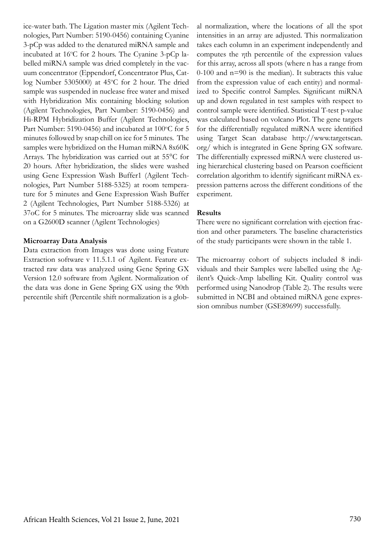ice-water bath. The Ligation master mix (Agilent Technologies, Part Number: 5190-0456) containing Cyanine 3-pCp was added to the denatured miRNA sample and incubated at 16°C for 2 hours. The Cyanine 3-pCp labelled miRNA sample was dried completely in the vacuum concentrator (Eppendorf, Concentrator Plus, Catlog Number 5305000) at 45°C for 2 hour. The dried sample was suspended in nuclease free water and mixed with Hybridization Mix containing blocking solution (Agilent Technologies, Part Number: 5190-0456) and Hi-RPM Hybridization Buffer (Agilent Technologies, Part Number: 5190-0456) and incubated at  $100^{\circ}$ C for 5 minutes followed by snap chill on ice for 5 minutes. The samples were hybridized on the Human miRNA 8x60K Arrays. The hybridization was carried out at 55°C for 20 hours. After hybridization, the slides were washed using Gene Expression Wash Buffer1 (Agilent Technologies, Part Number 5188-5325) at room temperature for 5 minutes and Gene Expression Wash Buffer 2 (Agilent Technologies, Part Number 5188-5326) at 37oC for 5 minutes. The microarray slide was scanned on a G2600D scanner (Agilent Technologies)

#### **Microarray Data Analysis**

Data extraction from Images was done using Feature Extraction software v 11.5.1.1 of Agilent. Feature extracted raw data was analyzed using Gene Spring GX Version 12.0 software from Agilent. Normalization of the data was done in Gene Spring GX using the 90th percentile shift (Percentile shift normalization is a glob-

al normalization, where the locations of all the spot intensities in an array are adjusted. This normalization takes each column in an experiment independently and computes the ηth percentile of the expression values for this array, across all spots (where n has a range from 0-100 and n=90 is the median). It subtracts this value from the expression value of each entity) and normalized to Specific control Samples. Significant miRNA up and down regulated in test samples with respect to control sample were identified. Statistical T-test p-value was calculated based on volcano Plot. The gene targets for the differentially regulated miRNA were identified using Target Scan database http://www.targetscan. org/ which is integrated in Gene Spring GX software. The differentially expressed miRNA were clustered using hierarchical clustering based on Pearson coefficient correlation algorithm to identify significant miRNA expression patterns across the different conditions of the experiment.

#### **Results**

There were no significant correlation with ejection fraction and other parameters. The baseline characteristics of the study participants were shown in the table 1.

The microarray cohort of subjects included 8 individuals and their Samples were labelled using the Agilent's Quick-Amp labelling Kit. Quality control was performed using Nanodrop (Table 2). The results were submitted in NCBI and obtained miRNA gene expression omnibus number (GSE89699) successfully.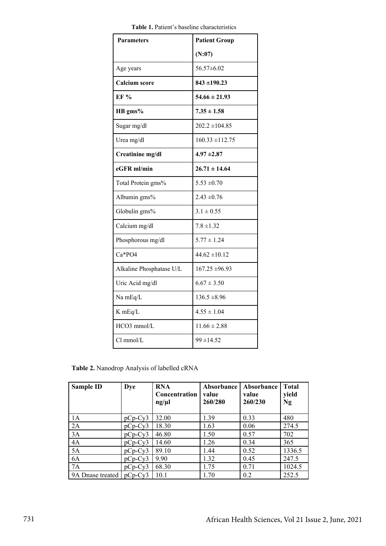| <b>Parameters</b>        | <b>Patient Group</b> |
|--------------------------|----------------------|
|                          | (N:07)               |
| Age years                | 56.57±6.02           |
| <b>Calcium</b> score     | $843 \pm 190.23$     |
| EF %                     | $54.66 \pm 21.93$    |
| HB gms%                  | $7.35 \pm 1.58$      |
| Sugar mg/dl              | $202.2 \pm 104.85$   |
| Urea mg/dl               | $160.33 \pm 112.75$  |
| Creatinine mg/dl         | $4.97 \pm 2.87$      |
| eGFR ml/min              | $26.71 \pm 14.64$    |
| Total Protein gms%       | $5.53 \pm 0.70$      |
| Albumin gms%             | $2.43 \pm 0.76$      |
| Globulin gms%            | $3.1 \pm 0.55$       |
| Calcium mg/dl            | $7.8 \pm 1.32$       |
| Phosphorous mg/dl        | $5.77 \pm 1.24$      |
| $Ca*PO4$                 | $44.62 \pm 10.12$    |
| Alkaline Phosphatase U/L | $167.25 \pm 96.93$   |
| Uric Acid mg/dl          | $6.67 \pm 3.50$      |
| Na mEq/L                 | $136.5 \pm 8.96$     |
| K mEq/L                  | $4.55 \pm 1.04$      |
| HCO3 mmol/L              | $11.66 \pm 2.88$     |
| $Cl$ mmol/ $L$           | $99 \pm 14.52$       |
|                          |                      |

**Table 1.** Patient's baseline characteristics **Table 1.** Patient's baseline characteristics

**Table 2.** Nanodrop Analysis of labelled cRNA

| <b>Sample ID</b> | <b>Dye</b> | <b>RNA</b><br><b>Concentration</b><br>ng/µl | Absorbance<br>value<br>260/280 | Absorbance<br>value<br>260/230 | <b>Total</b><br>yield<br>Ng |
|------------------|------------|---------------------------------------------|--------------------------------|--------------------------------|-----------------------------|
| 1A               | $pCp-Cv3$  | 32.00                                       | 1.39                           | 0.33                           | 480                         |
| 2A               | $pCp-Cy3$  | 18.30                                       | 1.63                           | 0.06                           | 274.5                       |
| 3A               | $pCp-Cy3$  | 46.80                                       | 1.50                           | 0.57                           | 702                         |
| 4A               | $pCp-Cy3$  | 14.60                                       | 1.26                           | 0.34                           | 365                         |
| 5A               | $pCp-Cy3$  | 89.10                                       | 1.44                           | 0.52                           | 1336.5                      |
| 6A               | $pCp-Cy3$  | 9.90                                        | 1.32                           | 0.45                           | 247.5                       |
| 7A               | $pCp-Cy3$  | 68.30                                       | 1.75                           | 0.71                           | 1024.5                      |
| 9A Dnase treated | $pCp-Cy3$  | 10.1                                        | 1.70                           | 0.2                            | 252.5                       |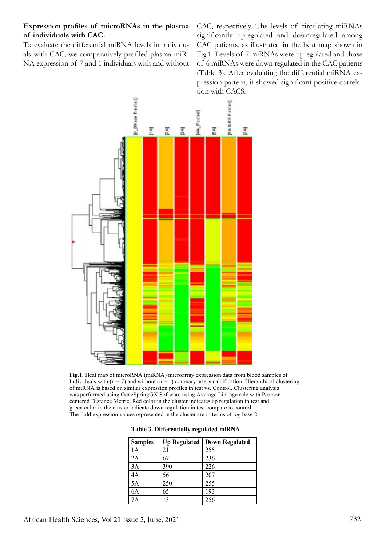# **Expression profiles of microRNAs in the plasma of individuals with CAC.**

To evaluate the differential miRNA levels in individuals with CAC, we comparatively profiled plasma miR-NA expression of 7 and 1 individuals with and without CAC, respectively. The levels of circulating miRNAs significantly upregulated and downregulated among CAC patients, as illustrated in the heat map shown in Fig.1. Levels of 7 miRNAs were upregulated and those of 6 miRNAs were down regulated in the CAC patients (Table 3). After evaluating the differential miRNA expression pattern, it showed significant positive correlation with CACS.



**Fig.1.** Heat map of microRNA (miRNA) microarray expression data from blood samples of Individuals with  $(n = 7)$  and without  $(n = 1)$  coronary artery calcification. Hierarchical clustering of miRNA is based on similar expression profiles in test vs. Control. Clustering analysis was performed using GeneSpringGX Software using Average Linkage rule with Pearson centered Distance Metric. Red color in the cluster indicates up regulation in test and green color in the cluster indicate down regulation in test compare to control. The Fold expression values represented in the cluster are in terms of log base 2.

| Table 3. Differentially regulated miRNA |  |  |
|-----------------------------------------|--|--|
|-----------------------------------------|--|--|

| <b>Samples</b> | <b>Up Regulated</b> | <b>Down Regulated</b> |
|----------------|---------------------|-----------------------|
| 1A             | 21                  | 255                   |
| 2A             | 67                  | 236                   |
| 3A             | 390                 | 226                   |
| 4A             | 56                  | 207                   |
| 5A             | 250                 | 255                   |
| 6A             | 65                  | 193                   |
| 7A             | 13                  | 256                   |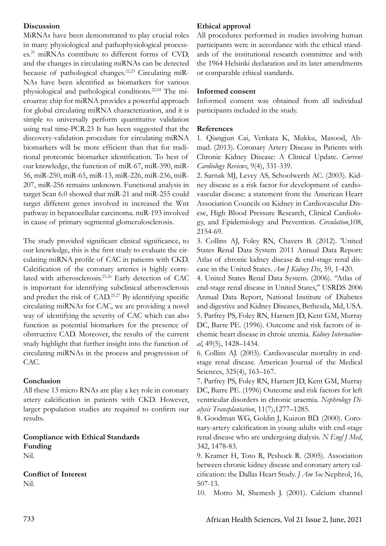# **Discussion**

MiRNAs have been demonstrated to play crucial roles in many physiological and pathophysiological processes.21 miRNAs contribute to different forms of CVD, and the changes in circulating miRNAs can be detected because of pathological changes.<sup>22,23</sup> Circulating miR-NAs have been identified as biomarkers for various physiological and pathological conditions.22,24 The microarray chip for miRNA provides a powerful approach for global circulating miRNA characterization, and it is simple to universally perform quantitative validation using real time-PCR.23 It has been suggested that the discovery-validation procedure for circulating miRNA biomarkers will be more efficient than that for traditional proteomic biomarker identification. To best of our knowledge, the function of miR-67, miR-390, miR-56, miR-250, miR-65, miR-13, miR-226, miR-236, miR-207, miR-256 remains unknown. Functional analysis in target Scan 6.0 showed that miR-21 and miR-255 could target different genes involved in increased the Wnt pathway in hepatocellular carcinoma. miR-193 involved in cause of primary segmental glomerulosclerosis.

The study provided significant clinical significance, to our knowledge, this is the first study to evaluate the circulating miRNA profile of CAC in patients with CKD. Calcification of the coronary arteries is highly correlated with atherosclerosis.25,26 Early detection of CAC is important for identifying subclinical atherosclerosis and predict the risk of CAD.25,27 By identifying specific circulating miRNAs for CAC, we are providing a novel way of identifying the severity of CAC which can also function as potential biomarkers for the presence of obstructive CAD. Moreover, the results of the current study highlight that further insight into the function of circulating miRNAs in the process and progression of CAC.

### **Conclusion**

All these 13 micro RNAs are play a key role in coronary artery calcification in patients with CKD. However, larger population studies are required to confirm our results.

**Compliance with Ethical Standards Funding** Nil.

**Conflict of Interest** Nil.

# **Ethical approval**

All procedures performed in studies involving human participants were in accordance with the ethical standards of the institutional research committee and with the 1964 Helsinki declaration and its later amendments or comparable ethical standards.

### **Informed consent**

Informed consent was obtained from all individual participants included in the study.

### **References**

1. Qiangjun Cai, Venkata K, Mukku, Masood, Ahmad. (2013). Coronary Artery Disease in Patients with Chronic Kidney Disease: A Clinical Update. *Current Cardiology Reviews*, 9(4), 331-339.

2. Sarnak MJ, Levey AS, Schoolwerth AC. (2003). Kidney disease as a risk factor for development of cardiovascular disease: a statement from the American Heart Association Councils on Kidney in Cardiovascular Disese, High Blood Pressure Research, Clinical Cardiology, and Epidemiology and Prevention. *Circulation*,108, 2154-69.

3. Collins AJ, Foley RN, Chavers B. (2012). 'United States Renal Data System 2011 Annual Data Report: Atlas of chronic kidney disease & end-stage renal disease in the United States. *Am J Kidney Dis*, 59, 1-420.

4. United States Renal Data System. (2006). "Atlas of end-stage renal disease in United States," USRDS 2006 Annual Data Report, National Institute of Diabetes and digestive and Kidney Diseases, Bethesda, Md, USA. 5. Parfrey PS, Foley RN, Harnett JD, Kent GM, Murray DC, Barre PE. (1996). Outcome and risk factors of ischemic heart disease in chroic uremia. *Kidney International*, 49(5), 1428–1434.

6. Collins AJ. (2003). Cardiovascular mortality in endstage renal disease. American Journal of the Medical Sciences, 325(4), 163–167.

7. Parfrey PS, Foley RN, Harnett JD, Kent GM, Murray DC, Barre PE. (1996) Outcome and risk factors for left ventricular disorders in chronic uraemia. *Nephrology Dialysis Transplantation*, 11(7),1277–1285.

8. Goodman WG, Goldin J, Kuizon BD. (2000). Coronary-artery calcification in young adults with end-stage renal disease who are undergoing dialysis. *N Engl J Med*, 342, 1478-83.

9. Kramer H, Toto R, Peshock R. (2005). Association between chronic kidney disease and coronary artery calcification: the Dallas Heart Study. *J Am Soc* Nephrol, 16, 507-13.

10. Motro M, Shemesh J. (2001). Calcium channel